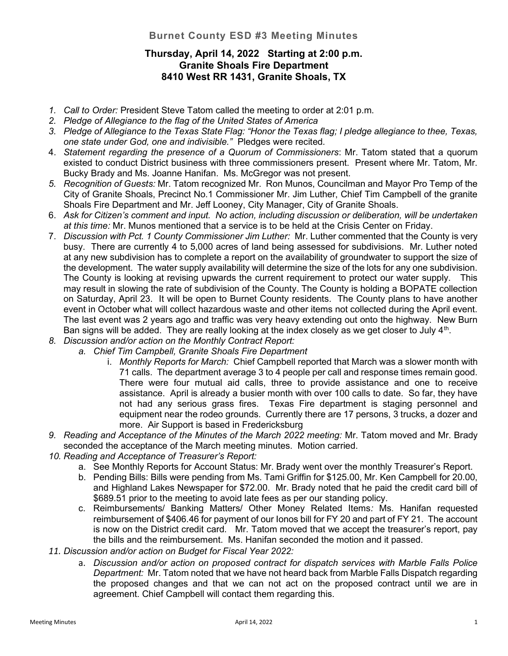## Burnet County ESD #3 Meeting Minutes

## Thursday, April 14, 2022 Starting at 2:00 p.m. Granite Shoals Fire Department 8410 West RR 1431, Granite Shoals, TX

- 1. Call to Order: President Steve Tatom called the meeting to order at 2:01 p.m.
- 2. Pledge of Allegiance to the flag of the United States of America
- 3. Pledge of Allegiance to the Texas State Flag: "Honor the Texas flag; I pledge allegiance to thee, Texas, one state under God, one and indivisible." Pledges were recited.
- 4. Statement regarding the presence of a Quorum of Commissioners: Mr. Tatom stated that a quorum existed to conduct District business with three commissioners present. Present where Mr. Tatom, Mr. Bucky Brady and Ms. Joanne Hanifan. Ms. McGregor was not present.
- 5. Recognition of Guests: Mr. Tatom recognized Mr. Ron Munos, Councilman and Mayor Pro Temp of the City of Granite Shoals, Precinct No.1 Commissioner Mr. Jim Luther, Chief Tim Campbell of the granite Shoals Fire Department and Mr. Jeff Looney, City Manager, City of Granite Shoals.
- 6. Ask for Citizen's comment and input. No action, including discussion or deliberation, will be undertaken at this time: Mr. Munos mentioned that a service is to be held at the Crisis Center on Friday.
- 7. Discussion with Pct. 1 County Commissioner Jim Luther: Mr. Luther commented that the County is very busy. There are currently 4 to 5,000 acres of land being assessed for subdivisions. Mr. Luther noted at any new subdivision has to complete a report on the availability of groundwater to support the size of the development. The water supply availability will determine the size of the lots for any one subdivision. The County is looking at revising upwards the current requirement to protect our water supply. This may result in slowing the rate of subdivision of the County. The County is holding a BOPATE collection on Saturday, April 23. It will be open to Burnet County residents. The County plans to have another event in October what will collect hazardous waste and other items not collected during the April event. The last event was 2 years ago and traffic was very heavy extending out onto the highway. New Burn Ban signs will be added. They are really looking at the index closely as we get closer to July  $4<sup>th</sup>$ .
- 8. Discussion and/or action on the Monthly Contract Report:
	- a. Chief Tim Campbell, Granite Shoals Fire Department
		- i. Monthly Reports for March: Chief Campbell reported that March was a slower month with 71 calls. The department average 3 to 4 people per call and response times remain good. There were four mutual aid calls, three to provide assistance and one to receive assistance. April is already a busier month with over 100 calls to date. So far, they have not had any serious grass fires. Texas Fire department is staging personnel and equipment near the rodeo grounds. Currently there are 17 persons, 3 trucks, a dozer and more. Air Support is based in Fredericksburg
- 9. Reading and Acceptance of the Minutes of the March 2022 meeting: Mr. Tatom moved and Mr. Brady seconded the acceptance of the March meeting minutes. Motion carried.
- 10. Reading and Acceptance of Treasurer's Report:
	- a. See Monthly Reports for Account Status: Mr. Brady went over the monthly Treasurer's Report.
	- b. Pending Bills: Bills were pending from Ms. Tami Griffin for \$125.00, Mr. Ken Campbell for 20.00, and Highland Lakes Newspaper for \$72.00. Mr. Brady noted that he paid the credit card bill of \$689.51 prior to the meeting to avoid late fees as per our standing policy.
	- c. Reimbursements/ Banking Matters/ Other Money Related Items: Ms. Hanifan requested reimbursement of \$406.46 for payment of our Ionos bill for FY 20 and part of FY 21. The account is now on the District credit card. Mr. Tatom moved that we accept the treasurer's report, pay the bills and the reimbursement. Ms. Hanifan seconded the motion and it passed.
- 11. Discussion and/or action on Budget for Fiscal Year 2022:
	- a. Discussion and/or action on proposed contract for dispatch services with Marble Falls Police Department: Mr. Tatom noted that we have not heard back from Marble Falls Dispatch regarding the proposed changes and that we can not act on the proposed contract until we are in agreement. Chief Campbell will contact them regarding this.